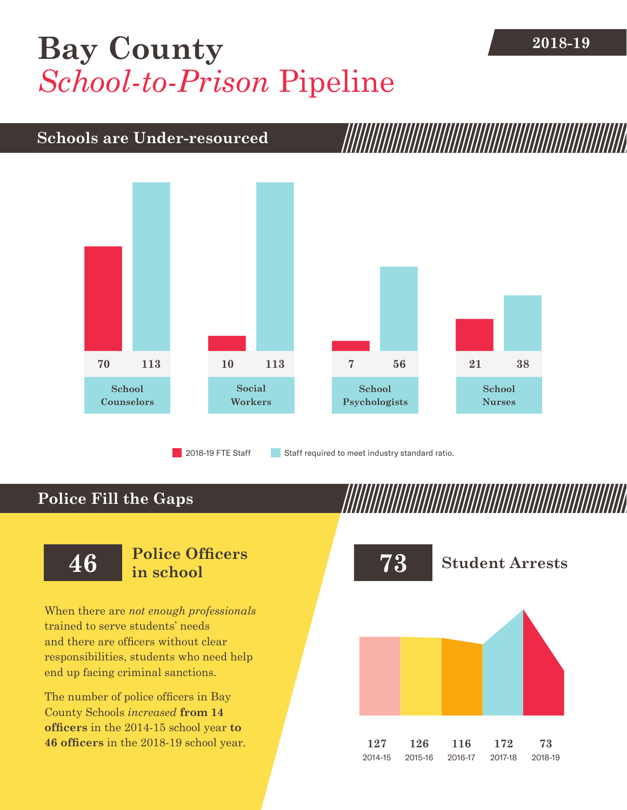## **[Bay County](DBF_County)** 2018-19 *School-to-Prison* Pipeline

### **Schools are Under-resourced**



2018-19 FTE Staff **Staff required to meet industry standard ratio.** 

## **Police Fill the Gaps**

When there are *not enough professionals* trained to serve students' needs and there are officers without clear responsibilities, students who need help end up facing criminal sanctions.

The number of police officers in [Bay](DBF_County)  [County](DBF_County) Schools *increased* **from [14](DBF_PO1415)  officers** in the 2014-15 school year **to [46](DBF_PO) officers** in the 2018-19 school year.